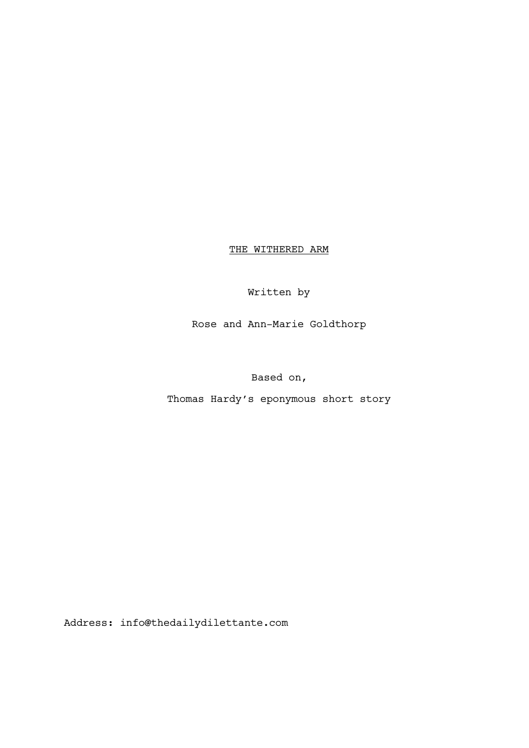THE WITHERED ARM

Written by

Rose and Ann-Marie Goldthorp

Based on,

Thomas Hardy's eponymous short story

Address: info@thedailydilettante.com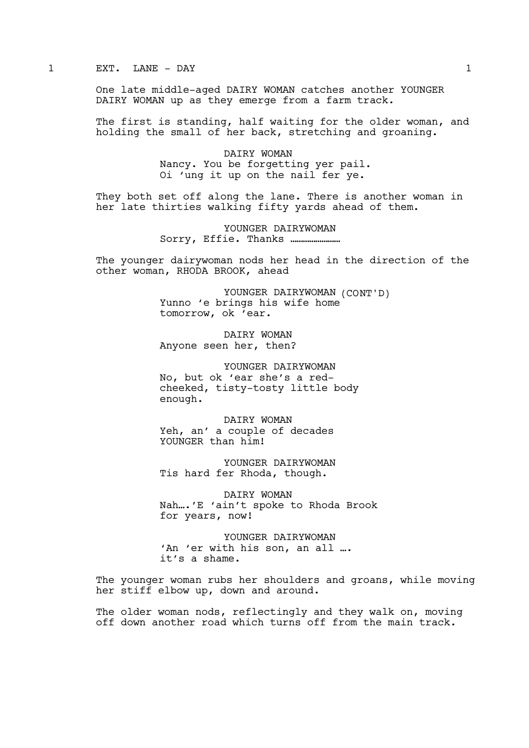1 EXT. LANE – DAY 1

One late middle-aged DAIRY WOMAN catches another YOUNGER DAIRY WOMAN up as they emerge from a farm track.

The first is standing, half waiting for the older woman, and holding the small of her back, stretching and groaning.

> DAIRY WOMAN Nancy. You be forgetting yer pail. Oi 'ung it up on the nail fer ye.

They both set off along the lane. There is another woman in her late thirties walking fifty yards ahead of them.

> YOUNGER DAIRYWOMAN Sorry, Effie. Thanks ……………………

The younger dairywoman nods her head in the direction of the other woman, RHODA BROOK, ahead

> YOUNGER DAIRYWOMAN (CONT'D) Yunno 'e brings his wife home tomorrow, ok 'ear.

DAIRY WOMAN Anyone seen her, then?

YOUNGER DAIRYWOMAN No, but ok 'ear she's a redcheeked, tisty-tosty little body enough.

DAIRY WOMAN Yeh, an' a couple of decades YOUNGER than him!

YOUNGER DAIRYWOMAN Tis hard fer Rhoda, though.

DAIRY WOMAN Nah….'E 'ain't spoke to Rhoda Brook for years, now!

YOUNGER DAIRYWOMAN 'An 'er with his son, an all …. it's a shame.

The younger woman rubs her shoulders and groans, while moving her stiff elbow up, down and around.

The older woman nods, reflectingly and they walk on, moving off down another road which turns off from the main track.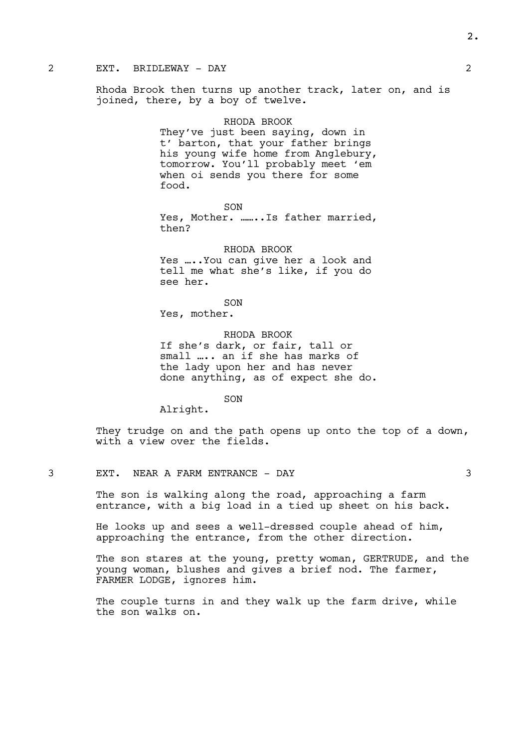#### 2 EXT. BRIDLEWAY - DAY 2

Rhoda Brook then turns up another track, later on, and is joined, there, by a boy of twelve.

#### RHODA BROOK

They've just been saying, down in t' barton, that your father brings his young wife home from Anglebury, tomorrow. You'll probably meet 'em when oi sends you there for some food.

SON Yes, Mother. .......Is father married, then?

RHODA BROOK Yes …..You can give her a look and tell me what she's like, if you do see her.

SON Yes, mother.

RHODA BROOK If she's dark, or fair, tall or small ….. an if she has marks of the lady upon her and has never done anything, as of expect she do.

SON

Alright.

They trudge on and the path opens up onto the top of a down, with a view over the fields.

The son is walking along the road, approaching a farm entrance, with a big load in a tied up sheet on his back.

He looks up and sees a well-dressed couple ahead of him, approaching the entrance, from the other direction.

The son stares at the young, pretty woman, GERTRUDE, and the young woman, blushes and gives a brief nod. The farmer, FARMER LODGE, ignores him.

The couple turns in and they walk up the farm drive, while the son walks on.

2.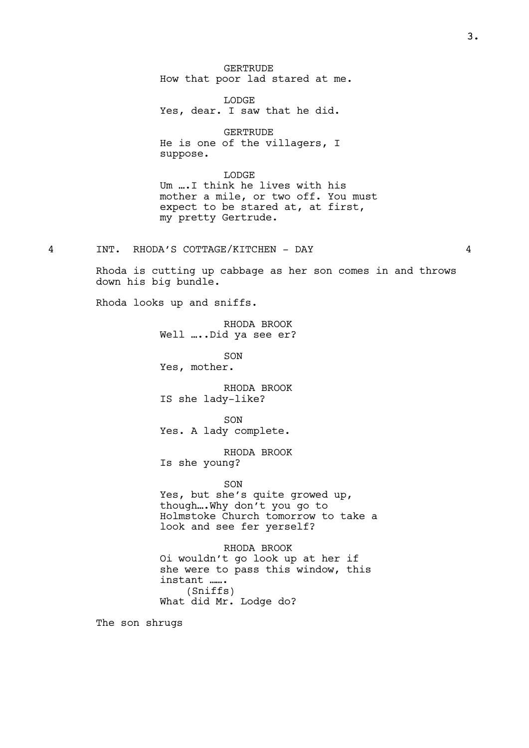**GERTRUDE** How that poor lad stared at me.

LODGE Yes, dear. I saw that he did.

GERTRUDE He is one of the villagers, I suppose.

LODGE Um ….I think he lives with his mother a mile, or two off. You must expect to be stared at, at first, my pretty Gertrude.

4 INT. RHODA'S COTTAGE/KITCHEN - DAY 4

Rhoda is cutting up cabbage as her son comes in and throws down his big bundle.

Rhoda looks up and sniffs.

RHODA BROOK Well …..Did ya see er?

SON Yes, mother.

RHODA BROOK IS she lady-like?

SON Yes. A lady complete.

RHODA BROOK Is she young?

SON

Yes, but she's quite growed up, though….Why don't you go to Holmstoke Church tomorrow to take a look and see fer yerself?

RHODA BROOK Oi wouldn't go look up at her if she were to pass this window, this instant ……. (Sniffs) What did Mr. Lodge do?

The son shrugs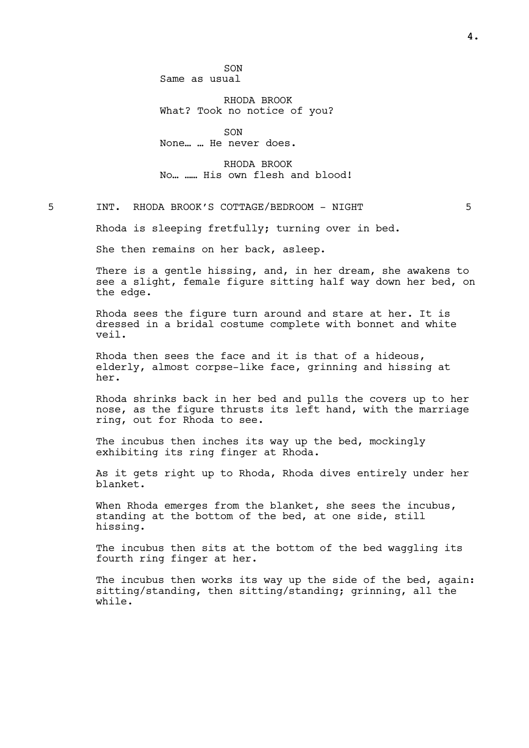RHODA BROOK What? Took no notice of you?

SON None… … He never does.

RHODA BROOK No… …… His own flesh and blood!

5 INT. RHODA BROOK'S COTTAGE/BEDROOM - NIGHT 5

Rhoda is sleeping fretfully; turning over in bed.

She then remains on her back, asleep.

There is a gentle hissing, and, in her dream, she awakens to see a slight, female figure sitting half way down her bed, on the edge.

Rhoda sees the figure turn around and stare at her. It is dressed in a bridal costume complete with bonnet and white veil.

Rhoda then sees the face and it is that of a hideous, elderly, almost corpse-like face, grinning and hissing at her.

Rhoda shrinks back in her bed and pulls the covers up to her nose, as the figure thrusts its left hand, with the marriage ring, out for Rhoda to see.

The incubus then inches its way up the bed, mockingly exhibiting its ring finger at Rhoda.

As it gets right up to Rhoda, Rhoda dives entirely under her blanket.

When Rhoda emerges from the blanket, she sees the incubus, standing at the bottom of the bed, at one side, still hissing.

The incubus then sits at the bottom of the bed waggling its fourth ring finger at her.

The incubus then works its way up the side of the bed, again: sitting/standing, then sitting/standing; grinning, all the while.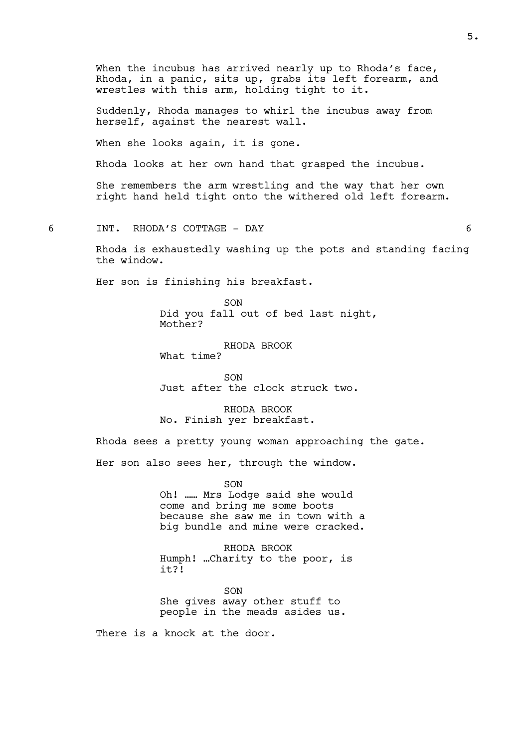When the incubus has arrived nearly up to Rhoda's face, Rhoda, in a panic, sits up, grabs its left forearm, and wrestles with this arm, holding tight to it. Suddenly, Rhoda manages to whirl the incubus away from herself, against the nearest wall. When she looks again, it is gone. Rhoda looks at her own hand that grasped the incubus. She remembers the arm wrestling and the way that her own right hand held tight onto the withered old left forearm. 6 INT. RHODA'S COTTAGE - DAY 6 Rhoda is exhaustedly washing up the pots and standing facing the window. Her son is finishing his breakfast. SON Did you fall out of bed last night, Mother? RHODA BROOK What time?  $SON$ Just after the clock struck two.

RHODA BROOK No. Finish yer breakfast.

Rhoda sees a pretty young woman approaching the gate.

Her son also sees her, through the window.

SON

Oh! …… Mrs Lodge said she would come and bring me some boots because she saw me in town with a big bundle and mine were cracked.

RHODA BROOK Humph! …Charity to the poor, is it?!

SON She gives away other stuff to people in the meads asides us.

There is a knock at the door.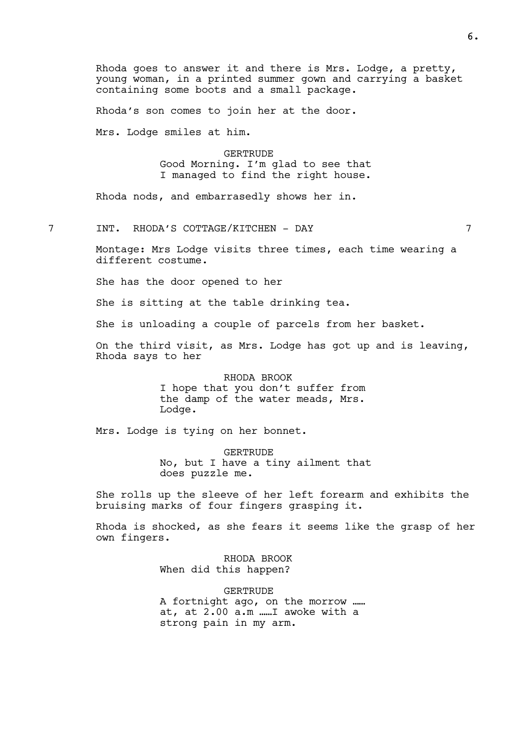Rhoda goes to answer it and there is Mrs. Lodge, a pretty, young woman, in a printed summer gown and carrying a basket containing some boots and a small package.

Rhoda's son comes to join her at the door.

Mrs. Lodge smiles at him.

# GERTRUDE

Good Morning. I'm glad to see that I managed to find the right house.

Rhoda nods, and embarrasedly shows her in.

7 INT. RHODA'S COTTAGE/KITCHEN - DAY 7

Montage: Mrs Lodge visits three times, each time wearing a different costume.

She has the door opened to her

She is sitting at the table drinking tea.

She is unloading a couple of parcels from her basket.

On the third visit, as Mrs. Lodge has got up and is leaving, Rhoda says to her

> RHODA BROOK I hope that you don't suffer from the damp of the water meads, Mrs. Lodge.

Mrs. Lodge is tying on her bonnet.

GERTRUDE No, but I have a tiny ailment that does puzzle me.

She rolls up the sleeve of her left forearm and exhibits the bruising marks of four fingers grasping it.

Rhoda is shocked, as she fears it seems like the grasp of her own fingers.

> RHODA BROOK When did this happen?

GERTRUDE A fortnight ago, on the morrow …… at, at 2.00 a.m ……I awoke with a strong pain in my arm.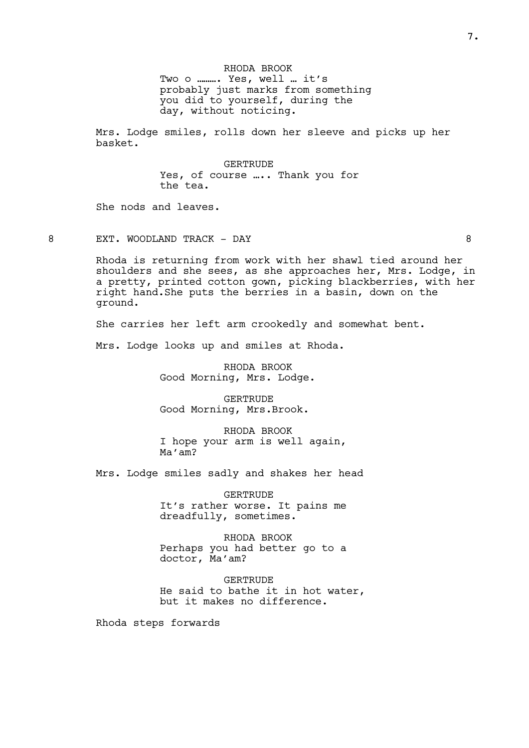RHODA BROOK Two o ………. Yes, well … it's probably just marks from something you did to yourself, during the day, without noticing.

Mrs. Lodge smiles, rolls down her sleeve and picks up her basket.

> GERTRUDE Yes, of course .... Thank you for the tea.

She nods and leaves.

8 EXT. WOODLAND TRACK – DAY 8

Rhoda is returning from work with her shawl tied around her shoulders and she sees, as she approaches her, Mrs. Lodge, in a pretty, printed cotton gown, picking blackberries, with her right hand.She puts the berries in a basin, down on the ground.

She carries her left arm crookedly and somewhat bent.

Mrs. Lodge looks up and smiles at Rhoda.

RHODA BROOK Good Morning, Mrs. Lodge.

GERTRUDE Good Morning, Mrs.Brook.

RHODA BROOK I hope your arm is well again, Ma'am?

Mrs. Lodge smiles sadly and shakes her head

GERTRUDE It's rather worse. It pains me dreadfully, sometimes.

RHODA BROOK Perhaps you had better go to a doctor, Ma'am?

GERTRUDE He said to bathe it in hot water, but it makes no difference.

Rhoda steps forwards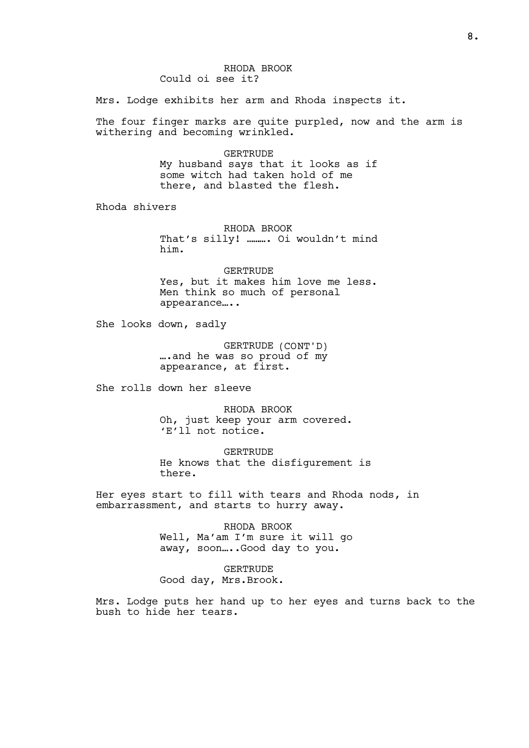#### RHODA BROOK Could oi see it?

Mrs. Lodge exhibits her arm and Rhoda inspects it.

The four finger marks are quite purpled, now and the arm is withering and becoming wrinkled.

> GERTRUDE My husband says that it looks as if some witch had taken hold of me there, and blasted the flesh.

Rhoda shivers

RHODA BROOK That's silly! ………. Oi wouldn't mind him.

GERTRUDE Yes, but it makes him love me less. Men think so much of personal appearance…..

She looks down, sadly

GERTRUDE (CONT'D) ….and he was so proud of my appearance, at first.

She rolls down her sleeve

RHODA BROOK Oh, just keep your arm covered. 'E'll not notice.

**GERTRUDE** He knows that the disfigurement is there.

Her eyes start to fill with tears and Rhoda nods, in embarrassment, and starts to hurry away.

> RHODA BROOK Well, Ma'am I'm sure it will go away, soon .... Good day to you.

GERTRUDE Good day, Mrs.Brook.

Mrs. Lodge puts her hand up to her eyes and turns back to the bush to hide her tears.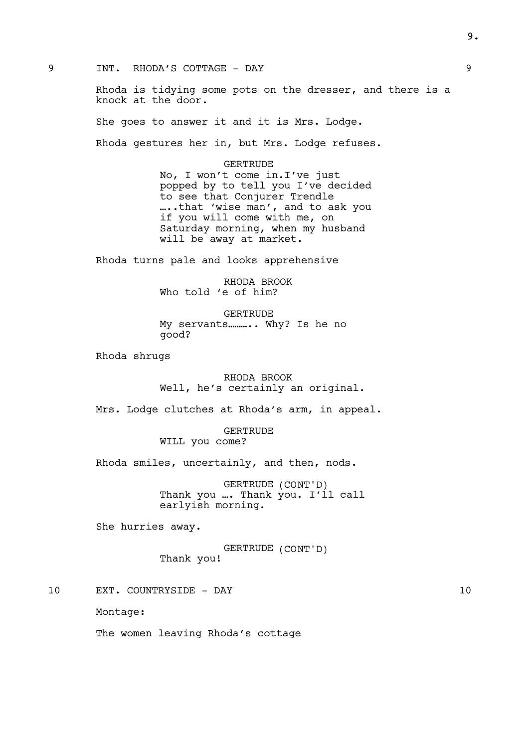9 INT. RHODA'S COTTAGE - DAY 9

Rhoda is tidying some pots on the dresser, and there is a knock at the door.

She goes to answer it and it is Mrs. Lodge.

Rhoda gestures her in, but Mrs. Lodge refuses.

# GERTRUDE

No, I won't come in.I've just popped by to tell you I've decided to see that Conjurer Trendle …..that 'wise man', and to ask you if you will come with me, on Saturday morning, when my husband will be away at market.

Rhoda turns pale and looks apprehensive

RHODA BROOK Who told 'e of him?

GERTRUDE My servants……….. Why? Is he no good?

Rhoda shrugs

RHODA BROOK Well, he's certainly an original.

Mrs. Lodge clutches at Rhoda's arm, in appeal.

GERTRUDE WILL you come?

Rhoda smiles, uncertainly, and then, nods.

GERTRUDE (CONT'D) Thank you ... Thank you. I'll call earlyish morning.

She hurries away.

GERTRUDE (CONT'D) Thank you!

10 EXT. COUNTRYSIDE - DAY 10

Montage:

The women leaving Rhoda's cottage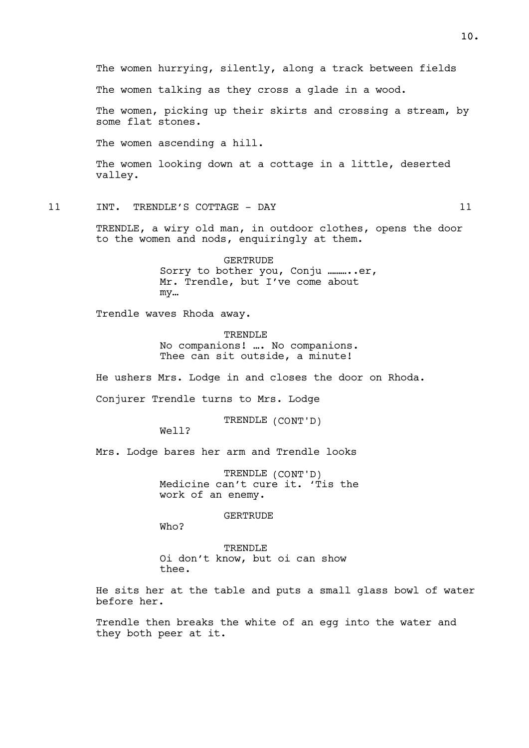The women hurrying, silently, along a track between fields The women talking as they cross a glade in a wood. The women, picking up their skirts and crossing a stream, by some flat stones. The women ascending a hill. The women looking down at a cottage in a little, deserted valley. 11 INT. TRENDLE'S COTTAGE - DAY 11 TRENDLE, a wiry old man, in outdoor clothes, opens the door to the women and nods, enquiringly at them. GERTRUDE Sorry to bother you, Conju ..........er, Mr. Trendle, but I've come about my… Trendle waves Rhoda away.

> TRENDLE No companions! …. No companions. Thee can sit outside, a minute!

He ushers Mrs. Lodge in and closes the door on Rhoda.

Conjurer Trendle turns to Mrs. Lodge

TRENDLE (CONT'D)

Well?

Mrs. Lodge bares her arm and Trendle looks

TRENDLE (CONT'D) Medicine can't cure it. 'Tis the work of an enemy.

**GERTRUDE** 

Who?

**TRENDLE** Oi don't know, but oi can show thee.

He sits her at the table and puts a small glass bowl of water before her.

Trendle then breaks the white of an egg into the water and they both peer at it.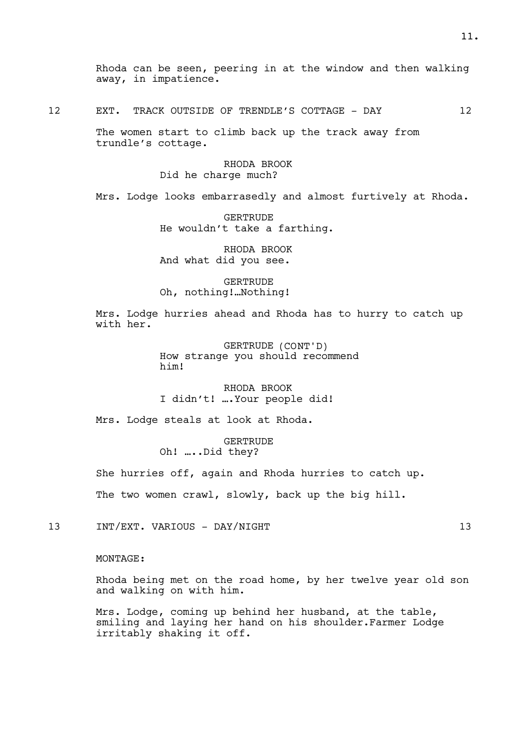| $\sim$<br>∸∸ | EXT. |  | TRACK OUTSIDE OF TRENDLE'S COTTAGE - DAY |  |  |
|--------------|------|--|------------------------------------------|--|--|
|              |      |  |                                          |  |  |

The women start to climb back up the track away from trundle's cottage.

> RHODA BROOK Did he charge much?

Mrs. Lodge looks embarrasedly and almost furtively at Rhoda.

**GERTRUDE** He wouldn't take a farthing.

RHODA BROOK And what did you see.

GERTRUDE Oh, nothing!…Nothing!

Mrs. Lodge hurries ahead and Rhoda has to hurry to catch up with her.

> GERTRUDE (CONT'D) How strange you should recommend him!

RHODA BROOK I didn't! ….Your people did!

Mrs. Lodge steals at look at Rhoda.

GERTRUDE Oh! …..Did they?

She hurries off, again and Rhoda hurries to catch up.

The two women crawl, slowly, back up the big hill.

13 INT/EXT. VARIOUS - DAY/NIGHT 13 13

## MONTAGE:

Rhoda being met on the road home, by her twelve year old son and walking on with him.

Mrs. Lodge, coming up behind her husband, at the table, smiling and laying her hand on his shoulder.Farmer Lodge irritably shaking it off.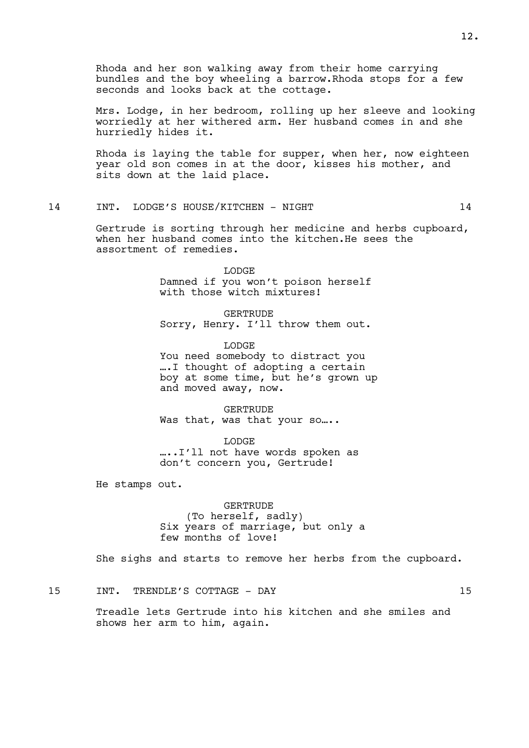Rhoda and her son walking away from their home carrying bundles and the boy wheeling a barrow.Rhoda stops for a few seconds and looks back at the cottage.

Mrs. Lodge, in her bedroom, rolling up her sleeve and looking worriedly at her withered arm. Her husband comes in and she hurriedly hides it.

Rhoda is laying the table for supper, when her, now eighteen year old son comes in at the door, kisses his mother, and sits down at the laid place.

#### 14 INT. LODGE'S HOUSE/KITCHEN - NIGHT 14

Gertrude is sorting through her medicine and herbs cupboard, when her husband comes into the kitchen.He sees the assortment of remedies.

> LODGE Damned if you won't poison herself with those witch mixtures!

> GERTRUDE Sorry, Henry. I'll throw them out.

LODGE You need somebody to distract you ….I thought of adopting a certain boy at some time, but he's grown up and moved away, now.

GERTRUDE Was that, was that your so....

LODGE …..I'll not have words spoken as don't concern you, Gertrude!

He stamps out.

GERTRUDE (To herself, sadly) Six years of marriage, but only a few months of love!

She sighs and starts to remove her herbs from the cupboard.

15 INT. TRENDLE'S COTTAGE - DAY 15

Treadle lets Gertrude into his kitchen and she smiles and shows her arm to him, again.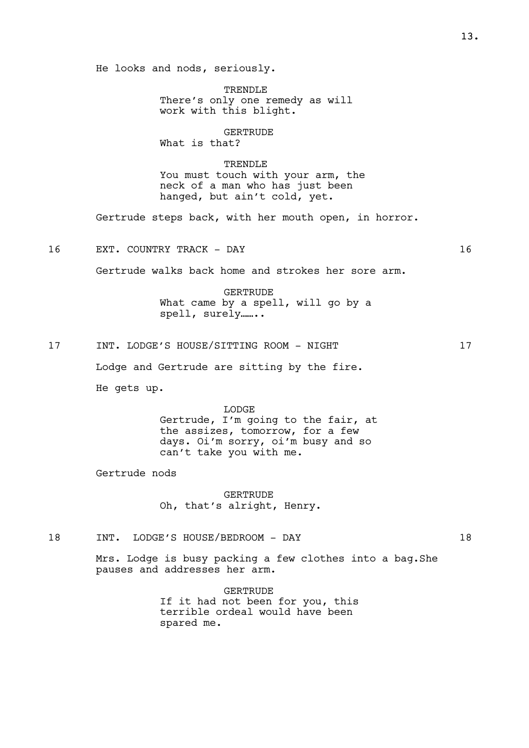He looks and nods, seriously.

TRENDLE There's only one remedy as will work with this blight.

GERTRUDE

What is that?

TRENDLE You must touch with your arm, the neck of a man who has just been hanged, but ain't cold, yet.

Gertrude steps back, with her mouth open, in horror.

16 EXT. COUNTRY TRACK - DAY 16

Gertrude walks back home and strokes her sore arm.

GERTRUDE What came by a spell, will go by a spell, surely……..

17 INT. LODGE'S HOUSE/SITTING ROOM - NIGHT 17

Lodge and Gertrude are sitting by the fire.

He gets up.

LODGE Gertrude, I'm going to the fair, at the assizes, tomorrow, for a few days. Oi'm sorry, oi'm busy and so can't take you with me.

Gertrude nods

GERTRUDE Oh, that's alright, Henry.

18 INT. LODGE'S HOUSE/BEDROOM - DAY 18

Mrs. Lodge is busy packing a few clothes into a bag.She pauses and addresses her arm.

> GERTRUDE If it had not been for you, this terrible ordeal would have been spared me.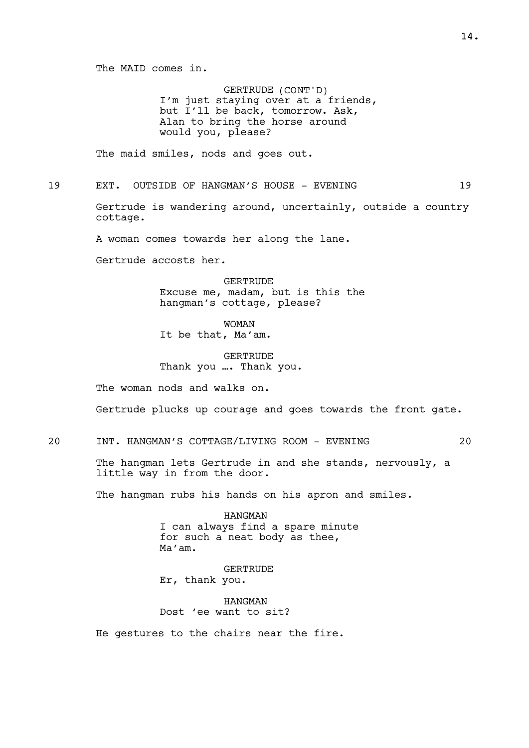The MAID comes in.

GERTRUDE (CONT'D) I'm just staying over at a friends, but I'll be back, tomorrow. Ask, Alan to bring the horse around would you, please?

The maid smiles, nods and goes out.

19 EXT. OUTSIDE OF HANGMAN'S HOUSE - EVENING 19

Gertrude is wandering around, uncertainly, outside a country cottage.

A woman comes towards her along the lane.

Gertrude accosts her.

**GERTRUDE** Excuse me, madam, but is this the hangman's cottage, please?

WOMAN It be that, Ma'am.

GERTRUDE Thank you …. Thank you.

The woman nods and walks on.

Gertrude plucks up courage and goes towards the front gate.

20 INT. HANGMAN'S COTTAGE/LIVING ROOM - EVENING 20

The hangman lets Gertrude in and she stands, nervously, a little way in from the door.

The hangman rubs his hands on his apron and smiles.

HANGMAN I can always find a spare minute for such a neat body as thee, Ma'am.

GERTRUDE Er, thank you.

HANGMAN Dost 'ee want to sit?

He gestures to the chairs near the fire.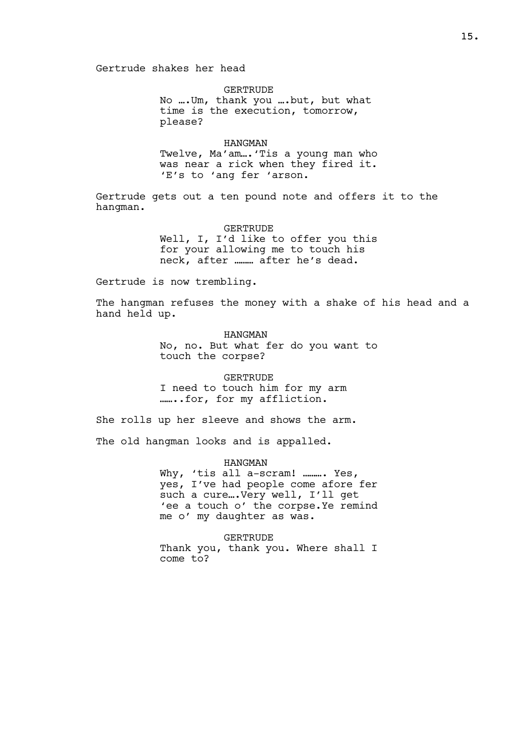Gertrude shakes her head

**GERTRUDE** 

No ….Um, thank you ….but, but what time is the execution, tomorrow, please?

#### HANGMAN

Twelve, Ma'am….'Tis a young man who was near a rick when they fired it. 'E's to 'ang fer 'arson.

Gertrude gets out a ten pound note and offers it to the hangman.

#### GERTRUDE

Well, I, I'd like to offer you this for your allowing me to touch his neck, after ……… after he's dead.

Gertrude is now trembling.

The hangman refuses the money with a shake of his head and a hand held up.

> HANGMAN No, no. But what fer do you want to touch the corpse?

# GERTRUDE

I need to touch him for my arm ……..for, for my affliction.

She rolls up her sleeve and shows the arm.

The old hangman looks and is appalled.

#### HANGMAN

Why, 'tis all a-scram! ......... Yes, yes, I've had people come afore fer such a cure….Very well, I'll get 'ee a touch o' the corpse.Ye remind me o' my daughter as was.

GERTRUDE

Thank you, thank you. Where shall I come to?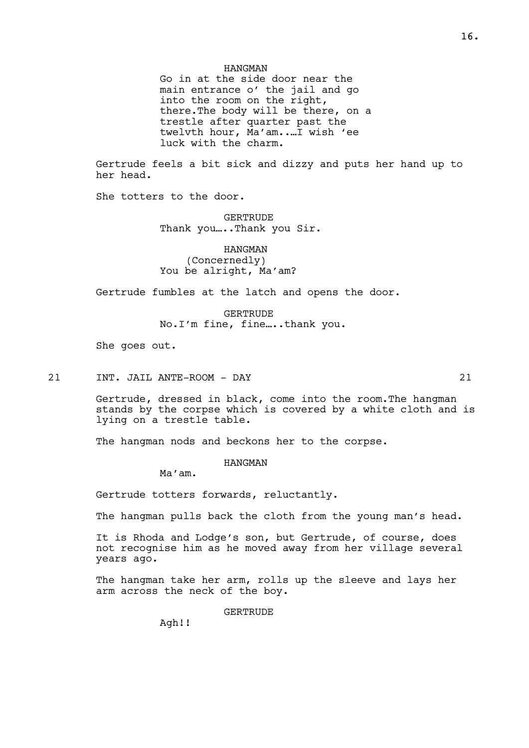Go in at the side door near the main entrance o' the jail and go into the room on the right, there.The body will be there, on a trestle after quarter past the twelvth hour, Ma'am..…I wish 'ee luck with the charm.

Gertrude feels a bit sick and dizzy and puts her hand up to her head.

She totters to the door.

**GERTRUDE** Thank you ....Thank you Sir.

## HANGMAN (Concernedly) You be alright, Ma'am?

Gertrude fumbles at the latch and opens the door.

GERTRUDE No.I'm fine, fine…..thank you.

She goes out.

21 INT. JAIL ANTE-ROOM - DAY 21

Gertrude, dressed in black, come into the room.The hangman stands by the corpse which is covered by a white cloth and is lying on a trestle table.

The hangman nods and beckons her to the corpse.

HANGMAN

Ma'am.

Gertrude totters forwards, reluctantly.

The hangman pulls back the cloth from the young man's head.

It is Rhoda and Lodge's son, but Gertrude, of course, does not recognise him as he moved away from her village several years ago.

The hangman take her arm, rolls up the sleeve and lays her arm across the neck of the boy.

GERTRUDE

Agh!!